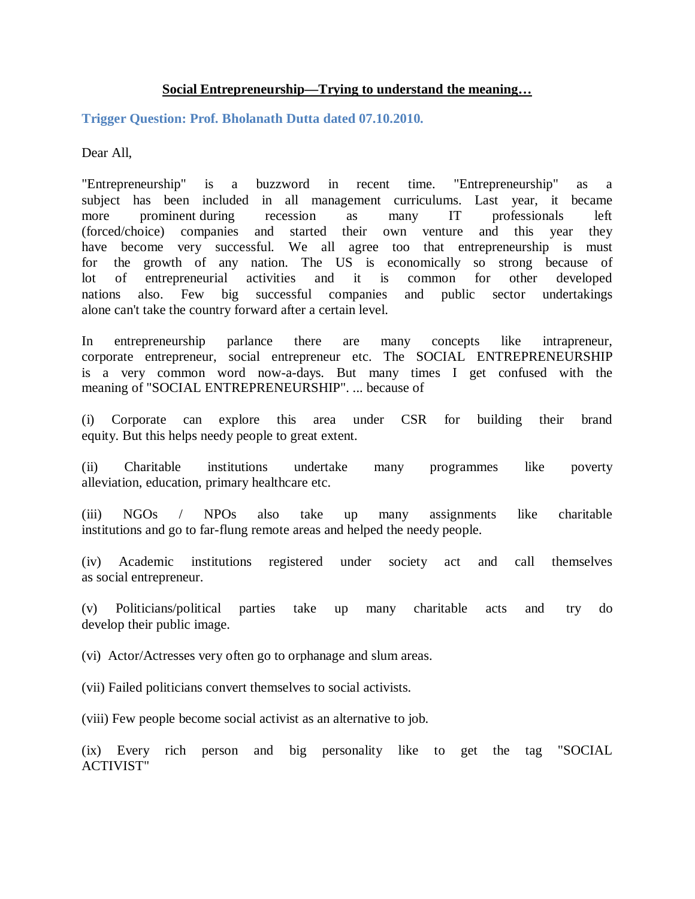## **Social Entrepreneurship—Trying to understand the meaning…**

**Trigger Question: Prof. Bholanath Dutta dated 07.10.2010.**

Dear All,

"Entrepreneurship" is a buzzword in recent time. "Entrepreneurship" as a subject has been included in all management curriculums. Last year, it became more prominent during recession as many IT professionals left (forced/choice) companies and started their own venture and this year they have become very successful. We all agree too that entrepreneurship is must for the growth of any nation. The US is economically so strong because of lot of entrepreneurial activities and it is common for other developed nations also. Few big successful companies and public sector undertakings alone can't take the country forward after a certain level.

In entrepreneurship parlance there are many concepts like intrapreneur, corporate entrepreneur, social entrepreneur etc. The SOCIAL ENTREPRENEURSHIP is a very common word now-a-days. But many times I get confused with the meaning of "SOCIAL ENTREPRENEURSHIP". ... because of

(i) Corporate can explore this area under CSR for building their brand equity. But this helps needy people to great extent.

(ii) Charitable institutions undertake many programmes like poverty alleviation, education, primary healthcare etc.

(iii) NGOs / NPOs also take up many assignments like charitable institutions and go to far-flung remote areas and helped the needy people.

(iv) Academic institutions registered under society act and call themselves as social entrepreneur.

(v) Politicians/political parties take up many charitable acts and try do develop their public image.

(vi) Actor/Actresses very often go to orphanage and slum areas.

(vii) Failed politicians convert themselves to social activists.

(viii) Few people become social activist as an alternative to job.

(ix) Every rich person and big personality like to get the tag "SOCIAL ACTIVIST"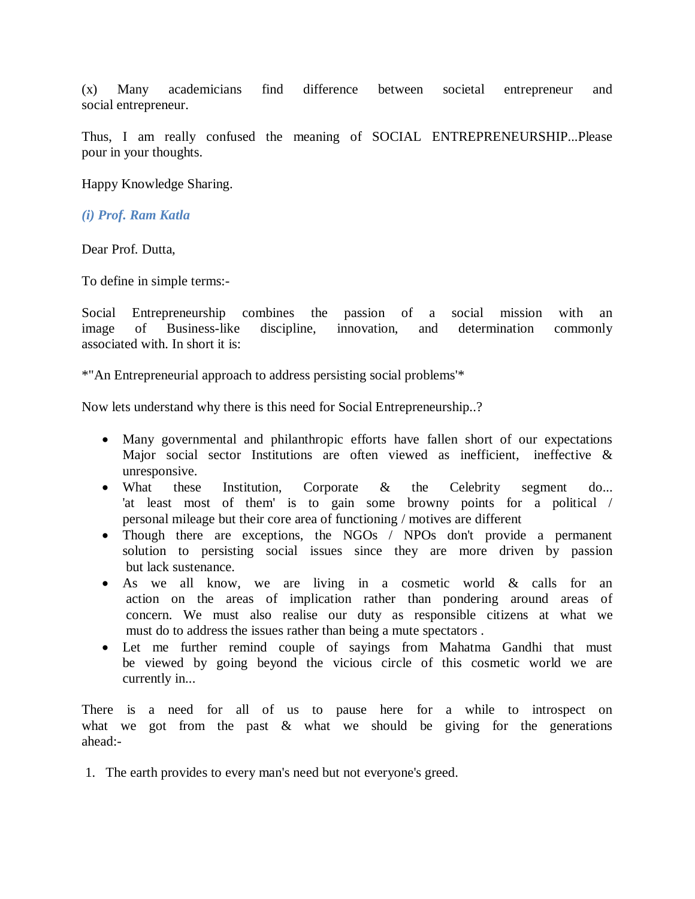(x) Many academicians find difference between societal entrepreneur and social entrepreneur.

Thus, I am really confused the meaning of SOCIAL ENTREPRENEURSHIP...Please pour in your thoughts.

Happy Knowledge Sharing.

*(i) Prof. Ram Katla*

Dear Prof. Dutta,

To define in simple terms:-

Social Entrepreneurship combines the passion of a social mission with an image of Business-like discipline, innovation, and determination commonly associated with. In short it is:

\*"An Entrepreneurial approach to address persisting social problems'\*

Now lets understand why there is this need for Social Entrepreneurship..?

- Many governmental and philanthropic efforts have fallen short of our expectations Major social sector Institutions are often viewed as inefficient, ineffective & unresponsive.
- What these Institution, Corporate & the Celebrity segment do... 'at least most of them' is to gain some browny points for a political / personal mileage but their core area of functioning / motives are different
- Though there are exceptions, the NGOs / NPOs don't provide a permanent solution to persisting social issues since they are more driven by passion but lack sustenance.
- As we all know, we are living in a cosmetic world & calls for an action on the areas of implication rather than pondering around areas of concern. We must also realise our duty as responsible citizens at what we must do to address the issues rather than being a mute spectators .
- Let me further remind couple of sayings from Mahatma Gandhi that must be viewed by going beyond the vicious circle of this cosmetic world we are currently in...

There is a need for all of us to pause here for a while to introspect on what we got from the past  $\&$  what we should be giving for the generations ahead:-

1. The earth provides to every man's need but not everyone's greed.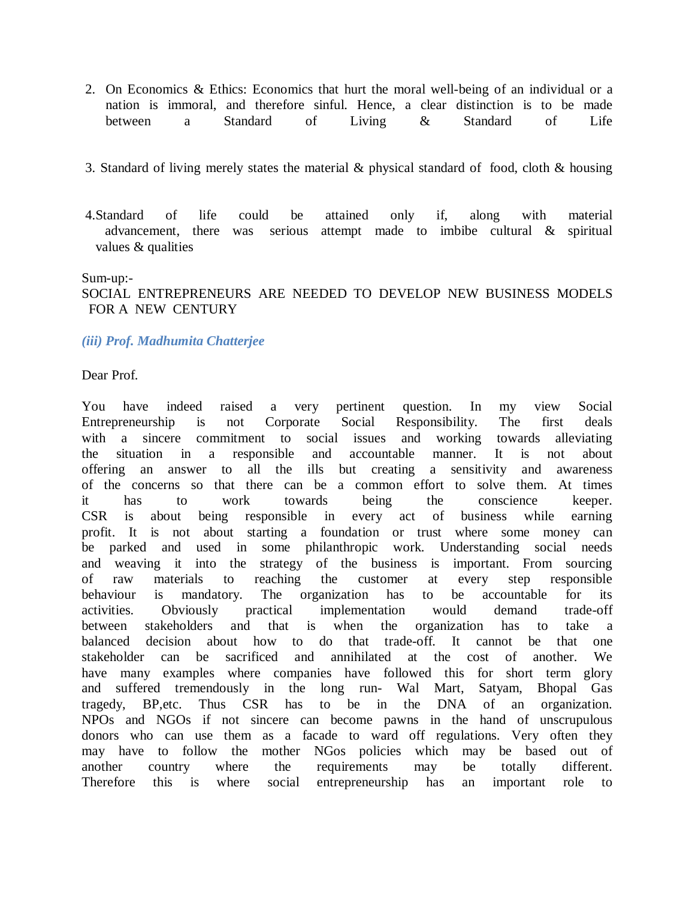- 2. On Economics & Ethics: Economics that hurt the moral well-being of an individual or a nation is immoral, and therefore sinful. Hence, a clear distinction is to be made between a Standard of Living & Standard of Life
- 3. Standard of living merely states the material & physical standard of food, cloth & housing
- 4.Standard of life could be attained only if, along with material advancement, there was serious attempt made to imbibe cultural & spiritual values & qualities

#### Sum-up:-

# SOCIAL ENTREPRENEURS ARE NEEDED TO DEVELOP NEW BUSINESS MODELS FOR A NEW CENTURY

### *(iii) Prof. Madhumita Chatterjee*

#### Dear Prof.

You have indeed raised a very pertinent question. In my view Social Entrepreneurship is not Corporate Social Responsibility. The first deals with a sincere commitment to social issues and working towards alleviating the situation in a responsible and accountable manner. It is not about offering an answer to all the ills but creating a sensitivity and awareness of the concerns so that there can be a common effort to solve them. At times it has to work towards being the conscience keeper. CSR is about being responsible in every act of business while earning profit. It is not about starting a foundation or trust where some money can be parked and used in some philanthropic work. Understanding social needs and weaving it into the strategy of the business is important. From sourcing of raw materials to reaching the customer at every step responsible behaviour is mandatory. The organization has to be accountable for its activities. Obviously practical implementation would demand trade-off between stakeholders and that is when the organization has to take a balanced decision about how to do that trade-off. It cannot be that one stakeholder can be sacrificed and annihilated at the cost of another. We have many examples where companies have followed this for short term glory and suffered tremendously in the long run- Wal Mart, Satyam, Bhopal Gas tragedy, BP,etc. Thus CSR has to be in the DNA of an organization. NPOs and NGOs if not sincere can become pawns in the hand of unscrupulous donors who can use them as a facade to ward off regulations. Very often they may have to follow the mother NGos policies which may be based out of another country where the requirements may be totally different. Therefore this is where social entrepreneurship has an important role to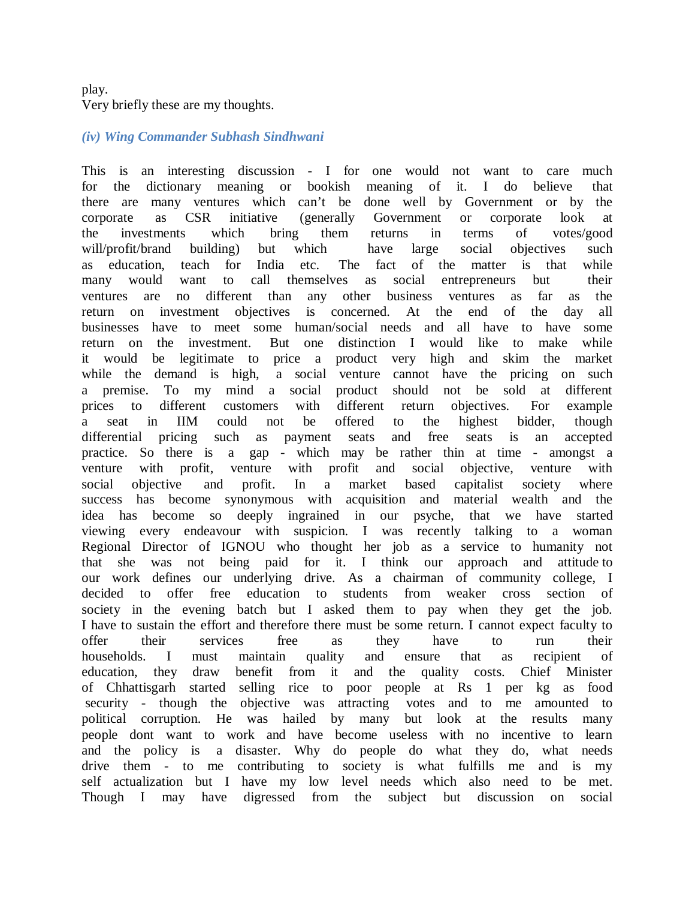# play. Very briefly these are my thoughts.

#### *(iv) Wing Commander Subhash Sindhwani*

This is an interesting discussion - I for one would not want to care much for the dictionary meaning or bookish meaning of it. I do believe that there are many ventures which can't be done well by Government or by the corporate as CSR initiative (generally Government or corporate look at the investments which bring them returns in terms of votes/good will/profit/brand building) but which have large social objectives such as education, teach for India etc. The fact of the matter is that while many would want to call themselves as social entrepreneurs but their ventures are no different than any other business ventures as far as the return on investment objectives is concerned. At the end of the day all businesses have to meet some human/social needs and all have to have some return on the investment. But one distinction I would like to make while it would be legitimate to price a product very high and skim the market while the demand is high, a social venture cannot have the pricing on such a premise. To my mind a social product should not be sold at different prices to different customers with different return objectives. For example a seat in IIM could not be offered to the highest bidder, though differential pricing such as payment seats and free seats is an accepted practice. So there is a gap - which may be rather thin at time - amongst a venture with profit, venture with profit and social objective, venture with social objective and profit. In a market based capitalist society where success has become synonymous with acquisition and material wealth and the idea has become so deeply ingrained in our psyche, that we have started viewing every endeavour with suspicion. I was recently talking to a woman Regional Director of IGNOU who thought her job as a service to humanity not that she was not being paid for it. I think our approach and attitude to our work defines our underlying drive. As a chairman of community college, I decided to offer free education to students from weaker cross section of society in the evening batch but I asked them to pay when they get the job. I have to sustain the effort and therefore there must be some return. I cannot expect faculty to offer their services free as they have to run their households. I must maintain quality and ensure that as recipient of education, they draw benefit from it and the quality costs. Chief Minister of Chhattisgarh started selling rice to poor people at Rs 1 per kg as food security - though the objective was attracting votes and to me amounted to political corruption. He was hailed by many but look at the results many people dont want to work and have become useless with no incentive to learn and the policy is a disaster. Why do people do what they do, what needs drive them - to me contributing to society is what fulfills me and is my self actualization but I have my low level needs which also need to be met. Though I may have digressed from the subject but discussion on social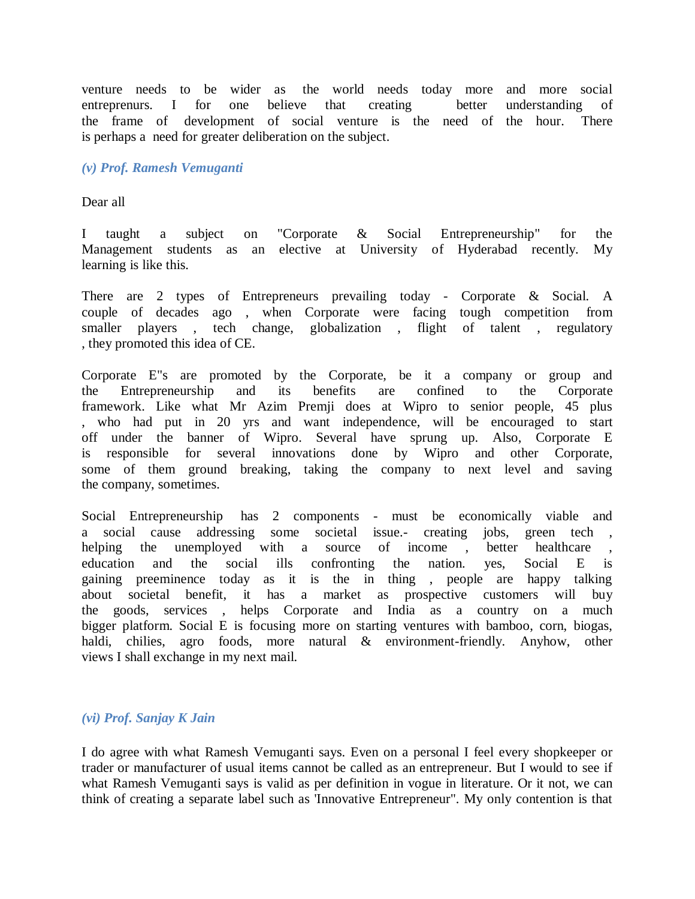venture needs to be wider as the world needs today more and more social entreprenurs. I for one believe that creating better understanding of the frame of development of social venture is the need of the hour. There is perhaps a need for greater deliberation on the subject.

### *(v) Prof. Ramesh Vemuganti*

Dear all

I taught a subject on "Corporate & Social Entrepreneurship" for the Management students as an elective at University of Hyderabad recently. My learning is like this.

There are 2 types of Entrepreneurs prevailing today - Corporate & Social. A couple of decades ago , when Corporate were facing tough competition from smaller players , tech change, globalization , flight of talent , regulatory , they promoted this idea of CE.

Corporate E"s are promoted by the Corporate, be it a company or group and the Entrepreneurship and its benefits are confined to the Corporate framework. Like what Mr Azim Premji does at Wipro to senior people, 45 plus , who had put in 20 yrs and want independence, will be encouraged to start off under the banner of Wipro. Several have sprung up. Also, Corporate E is responsible for several innovations done by Wipro and other Corporate, some of them ground breaking, taking the company to next level and saving the company, sometimes.

Social Entrepreneurship has 2 components - must be economically viable and a social cause addressing some societal issue.- creating jobs, green tech helping the unemployed with a source of income, better healthcare education and the social ills confronting the nation. yes, Social E is gaining preeminence today as it is the in thing , people are happy talking about societal benefit, it has a market as prospective customers will buy the goods, services , helps Corporate and India as a country on a much bigger platform. Social E is focusing more on starting ventures with bamboo, corn, biogas, haldi, chilies, agro foods, more natural & environment-friendly. Anyhow, other views I shall exchange in my next mail.

### *(vi) Prof. Sanjay K Jain*

I do agree with what Ramesh Vemuganti says. Even on a personal I feel every shopkeeper or trader or manufacturer of usual items cannot be called as an entrepreneur. But I would to see if what Ramesh Vemuganti says is valid as per definition in vogue in literature. Or it not, we can think of creating a separate label such as 'Innovative Entrepreneur". My only contention is that